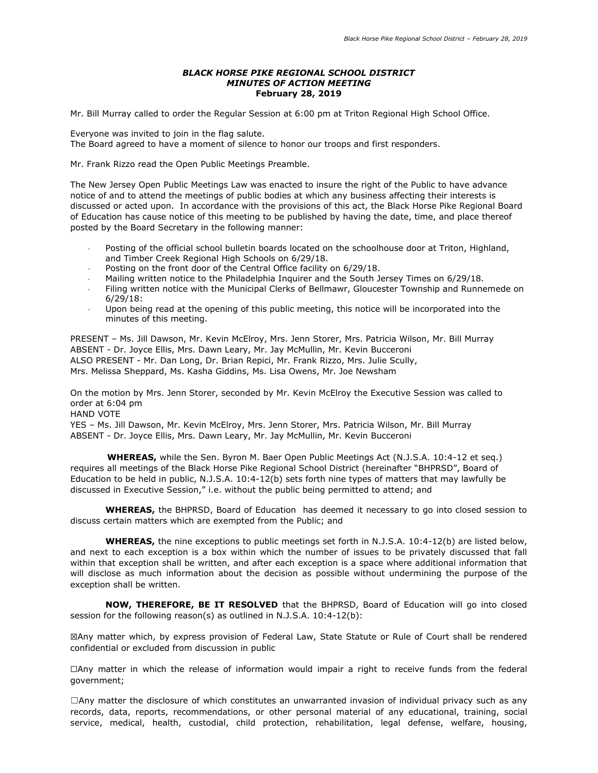#### *BLACK HORSE PIKE REGIONAL SCHOOL DISTRICT MINUTES OF ACTION MEETING* **February 28, 2019**

Mr. Bill Murray called to order the Regular Session at 6:00 pm at Triton Regional High School Office.

Everyone was invited to join in the flag salute. The Board agreed to have a moment of silence to honor our troops and first responders.

Mr. Frank Rizzo read the Open Public Meetings Preamble.

The New Jersey Open Public Meetings Law was enacted to insure the right of the Public to have advance notice of and to attend the meetings of public bodies at which any business affecting their interests is discussed or acted upon. In accordance with the provisions of this act, the Black Horse Pike Regional Board of Education has cause notice of this meeting to be published by having the date, time, and place thereof posted by the Board Secretary in the following manner:

- Posting of the official school bulletin boards located on the schoolhouse door at Triton, Highland, and Timber Creek Regional High Schools on 6/29/18.
- Posting on the front door of the Central Office facility on 6/29/18.
- Mailing written notice to the Philadelphia Inquirer and the South Jersey Times on 6/29/18.
- Filing written notice with the Municipal Clerks of Bellmawr, Gloucester Township and Runnemede on 6/29/18:
- Upon being read at the opening of this public meeting, this notice will be incorporated into the minutes of this meeting.

PRESENT – Ms. Jill Dawson, Mr. Kevin McElroy, Mrs. Jenn Storer, Mrs. Patricia Wilson, Mr. Bill Murray ABSENT - Dr. Joyce Ellis, Mrs. Dawn Leary, Mr. Jay McMullin, Mr. Kevin Bucceroni ALSO PRESENT - Mr. Dan Long, Dr. Brian Repici, Mr. Frank Rizzo, Mrs. Julie Scully, Mrs. Melissa Sheppard, Ms. Kasha Giddins, Ms. Lisa Owens, Mr. Joe Newsham

On the motion by Mrs. Jenn Storer, seconded by Mr. Kevin McElroy the Executive Session was called to order at 6:04 pm HAND VOTE YES – Ms. Jill Dawson, Mr. Kevin McElroy, Mrs. Jenn Storer, Mrs. Patricia Wilson, Mr. Bill Murray ABSENT - Dr. Joyce Ellis, Mrs. Dawn Leary, Mr. Jay McMullin, Mr. Kevin Bucceroni

 **WHEREAS,** while the Sen. Byron M. Baer Open Public Meetings Act (N.J.S.A. 10:4-12 et seq.) requires all meetings of the Black Horse Pike Regional School District (hereinafter "BHPRSD", Board of Education to be held in public, N.J.S.A. 10:4-12(b) sets forth nine types of matters that may lawfully be discussed in Executive Session," i.e. without the public being permitted to attend; and

**WHEREAS,** the BHPRSD, Board of Education has deemed it necessary to go into closed session to discuss certain matters which are exempted from the Public; and

**WHEREAS,** the nine exceptions to public meetings set forth in N.J.S.A. 10:4-12(b) are listed below, and next to each exception is a box within which the number of issues to be privately discussed that fall within that exception shall be written, and after each exception is a space where additional information that will disclose as much information about the decision as possible without undermining the purpose of the exception shall be written.

**NOW, THEREFORE, BE IT RESOLVED** that the BHPRSD, Board of Education will go into closed session for the following reason(s) as outlined in N.J.S.A. 10:4-12(b):

☒Any matter which, by express provision of Federal Law, State Statute or Rule of Court shall be rendered confidential or excluded from discussion in public

☐Any matter in which the release of information would impair a right to receive funds from the federal government;

 $\Box$ Any matter the disclosure of which constitutes an unwarranted invasion of individual privacy such as any records, data, reports, recommendations, or other personal material of any educational, training, social service, medical, health, custodial, child protection, rehabilitation, legal defense, welfare, housing,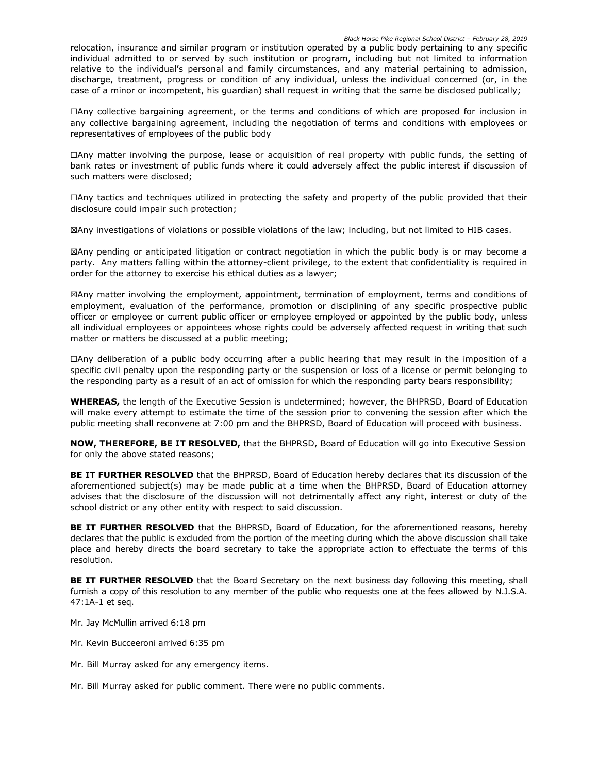relocation, insurance and similar program or institution operated by a public body pertaining to any specific individual admitted to or served by such institution or program, including but not limited to information relative to the individual's personal and family circumstances, and any material pertaining to admission, discharge, treatment, progress or condition of any individual, unless the individual concerned (or, in the case of a minor or incompetent, his guardian) shall request in writing that the same be disclosed publically;

☐Any collective bargaining agreement, or the terms and conditions of which are proposed for inclusion in any collective bargaining agreement, including the negotiation of terms and conditions with employees or representatives of employees of the public body

☐Any matter involving the purpose, lease or acquisition of real property with public funds, the setting of bank rates or investment of public funds where it could adversely affect the public interest if discussion of such matters were disclosed;

☐Any tactics and techniques utilized in protecting the safety and property of the public provided that their disclosure could impair such protection;

☒Any investigations of violations or possible violations of the law; including, but not limited to HIB cases.

☒Any pending or anticipated litigation or contract negotiation in which the public body is or may become a party. Any matters falling within the attorney-client privilege, to the extent that confidentiality is required in order for the attorney to exercise his ethical duties as a lawyer;

☒Any matter involving the employment, appointment, termination of employment, terms and conditions of employment, evaluation of the performance, promotion or disciplining of any specific prospective public officer or employee or current public officer or employee employed or appointed by the public body, unless all individual employees or appointees whose rights could be adversely affected request in writing that such matter or matters be discussed at a public meeting;

☐Any deliberation of a public body occurring after a public hearing that may result in the imposition of a specific civil penalty upon the responding party or the suspension or loss of a license or permit belonging to the responding party as a result of an act of omission for which the responding party bears responsibility;

**WHEREAS,** the length of the Executive Session is undetermined; however, the BHPRSD, Board of Education will make every attempt to estimate the time of the session prior to convening the session after which the public meeting shall reconvene at 7:00 pm and the BHPRSD, Board of Education will proceed with business.

**NOW, THEREFORE, BE IT RESOLVED,** that the BHPRSD, Board of Education will go into Executive Session for only the above stated reasons;

**BE IT FURTHER RESOLVED** that the BHPRSD, Board of Education hereby declares that its discussion of the aforementioned subject(s) may be made public at a time when the BHPRSD, Board of Education attorney advises that the disclosure of the discussion will not detrimentally affect any right, interest or duty of the school district or any other entity with respect to said discussion.

**BE IT FURTHER RESOLVED** that the BHPRSD, Board of Education, for the aforementioned reasons, hereby declares that the public is excluded from the portion of the meeting during which the above discussion shall take place and hereby directs the board secretary to take the appropriate action to effectuate the terms of this resolution.

**BE IT FURTHER RESOLVED** that the Board Secretary on the next business day following this meeting, shall furnish a copy of this resolution to any member of the public who requests one at the fees allowed by N.J.S.A. 47:1A-1 et seq.

Mr. Jay McMullin arrived 6:18 pm

Mr. Kevin Bucceeroni arrived 6:35 pm

Mr. Bill Murray asked for any emergency items.

Mr. Bill Murray asked for public comment. There were no public comments.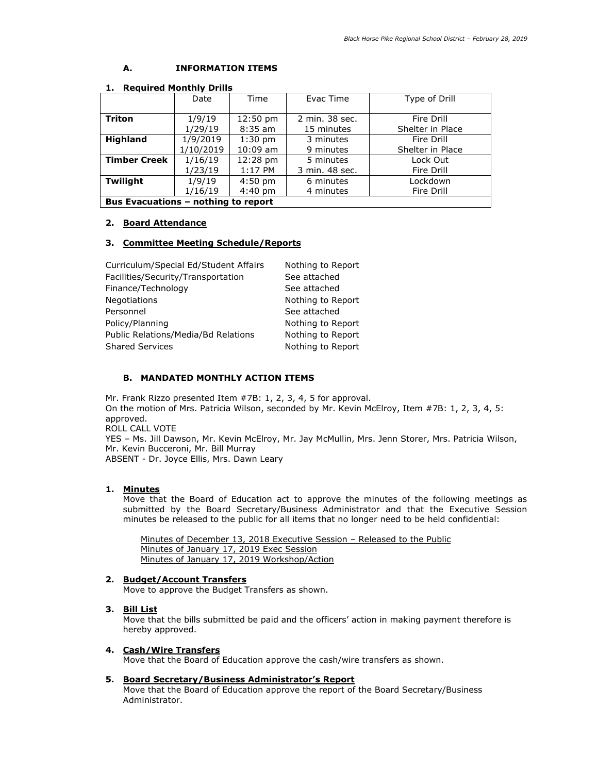# **A. INFORMATION ITEMS**

| . .<br>Reguned Plontiny Drins              |           |                    |                |                  |
|--------------------------------------------|-----------|--------------------|----------------|------------------|
|                                            | Date      | Time               | Evac Time      | Type of Drill    |
| <b>Triton</b>                              | 1/9/19    | $12:50 \text{ pm}$ | 2 min. 38 sec. | Fire Drill       |
|                                            | 1/29/19   | $8:35$ am          | 15 minutes     | Shelter in Place |
| <b>Highland</b>                            | 1/9/2019  | $1:30$ pm          | 3 minutes      | Fire Drill       |
|                                            | 1/10/2019 | $10:09$ am         | 9 minutes      | Shelter in Place |
| <b>Timber Creek</b>                        | 1/16/19   | 12:28 pm           | 5 minutes      | Lock Out         |
|                                            | 1/23/19   | $1:17$ PM          | 3 min. 48 sec. | Fire Drill       |
| Twilight                                   | 1/9/19    | $4:50$ pm          | 6 minutes      | Lockdown         |
|                                            | 1/16/19   | $4:40$ pm          | 4 minutes      | Fire Drill       |
| <b>Bus Evacuations - nothing to report</b> |           |                    |                |                  |

#### **1. Required Monthly Drills**

#### **2. Board Attendance**

#### **3. Committee Meeting Schedule/Reports**

| Curriculum/Special Ed/Student Affairs | Nothing to Report |
|---------------------------------------|-------------------|
| Facilities/Security/Transportation    | See attached      |
| Finance/Technology                    | See attached      |
| Negotiations                          | Nothing to Report |
| Personnel                             | See attached      |
| Policy/Planning                       | Nothing to Report |
| Public Relations/Media/Bd Relations   | Nothing to Report |
| <b>Shared Services</b>                | Nothing to Report |

#### **B. MANDATED MONTHLY ACTION ITEMS**

Mr. Frank Rizzo presented Item #7B: 1, 2, 3, 4, 5 for approval. On the motion of Mrs. Patricia Wilson, seconded by Mr. Kevin McElroy, Item #7B: 1, 2, 3, 4, 5: approved. ROLL CALL VOTE YES – Ms. Jill Dawson, Mr. Kevin McElroy, Mr. Jay McMullin, Mrs. Jenn Storer, Mrs. Patricia Wilson, Mr. Kevin Bucceroni, Mr. Bill Murray ABSENT - Dr. Joyce Ellis, Mrs. Dawn Leary

## **1. Minutes**

Move that the Board of Education act to approve the minutes of the following meetings as submitted by the Board Secretary/Business Administrator and that the Executive Session minutes be released to the public for all items that no longer need to be held confidential:

Minutes of December 13, 2018 Executive Session – Released to the Public Minutes of January 17, 2019 Exec Session Minutes of January 17, 2019 Workshop/Action

## **2. Budget/Account Transfers**

Move to approve the Budget Transfers as shown.

#### **3. Bill List**

Move that the bills submitted be paid and the officers' action in making payment therefore is hereby approved.

#### **4. Cash/Wire Transfers**

Move that the Board of Education approve the cash/wire transfers as shown.

#### **5. Board Secretary/Business Administrator's Report**

Move that the Board of Education approve the report of the Board Secretary/Business Administrator.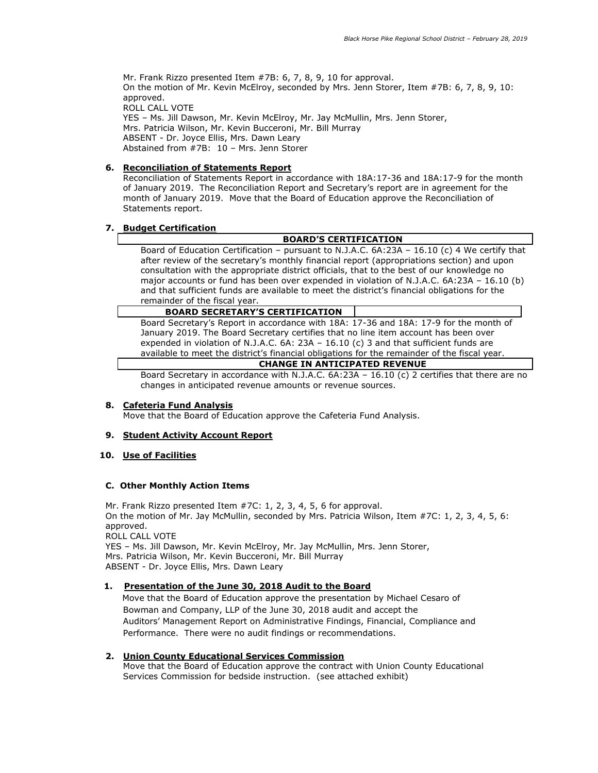Mr. Frank Rizzo presented Item #7B: 6, 7, 8, 9, 10 for approval. On the motion of Mr. Kevin McElroy, seconded by Mrs. Jenn Storer, Item #7B: 6, 7, 8, 9, 10: approved. ROLL CALL VOTE YES – Ms. Jill Dawson, Mr. Kevin McElroy, Mr. Jay McMullin, Mrs. Jenn Storer, Mrs. Patricia Wilson, Mr. Kevin Bucceroni, Mr. Bill Murray ABSENT - Dr. Joyce Ellis, Mrs. Dawn Leary Abstained from #7B: 10 – Mrs. Jenn Storer

# **6. Reconciliation of Statements Report**

Reconciliation of Statements Report in accordance with 18A:17-36 and 18A:17-9 for the month of January 2019. The Reconciliation Report and Secretary's report are in agreement for the month of January 2019. Move that the Board of Education approve the Reconciliation of Statements report.

# **7. Budget Certification**

## **BOARD'S CERTIFICATION**

Board of Education Certification – pursuant to N.J.A.C.  $6A:23A - 16.10$  (c) 4 We certify that after review of the secretary's monthly financial report (appropriations section) and upon consultation with the appropriate district officials, that to the best of our knowledge no major accounts or fund has been over expended in violation of N.J.A.C. 6A:23A – 16.10 (b) and that sufficient funds are available to meet the district's financial obligations for the remainder of the fiscal year.

## **BOARD SECRETARY'S CERTIFICATION**

Board Secretary's Report in accordance with 18A: 17-36 and 18A: 17-9 for the month of January 2019. The Board Secretary certifies that no line item account has been over expended in violation of N.J.A.C. 6A: 23A – 16.10 (c) 3 and that sufficient funds are available to meet the district's financial obligations for the remainder of the fiscal year.

# **CHANGE IN ANTICIPATED REVENUE**

Board Secretary in accordance with N.J.A.C. 6A:23A – 16.10 (c) 2 certifies that there are no changes in anticipated revenue amounts or revenue sources.

## **8. Cafeteria Fund Analysis**

Move that the Board of Education approve the Cafeteria Fund Analysis.

## **9. Student Activity Account Report**

## **10. Use of Facilities**

## **C. Other Monthly Action Items**

Mr. Frank Rizzo presented Item #7C: 1, 2, 3, 4, 5, 6 for approval. On the motion of Mr. Jay McMullin, seconded by Mrs. Patricia Wilson, Item #7C: 1, 2, 3, 4, 5, 6: approved. ROLL CALL VOTE YES – Ms. Jill Dawson, Mr. Kevin McElroy, Mr. Jay McMullin, Mrs. Jenn Storer, Mrs. Patricia Wilson, Mr. Kevin Bucceroni, Mr. Bill Murray ABSENT - Dr. Joyce Ellis, Mrs. Dawn Leary

## **1. Presentation of the June 30, 2018 Audit to the Board**

Move that the Board of Education approve the presentation by Michael Cesaro of Bowman and Company, LLP of the June 30, 2018 audit and accept the Auditors' Management Report on Administrative Findings, Financial, Compliance and Performance. There were no audit findings or recommendations.

## **2. Union County Educational Services Commission**

 Move that the Board of Education approve the contract with Union County Educational Services Commission for bedside instruction. (see attached exhibit)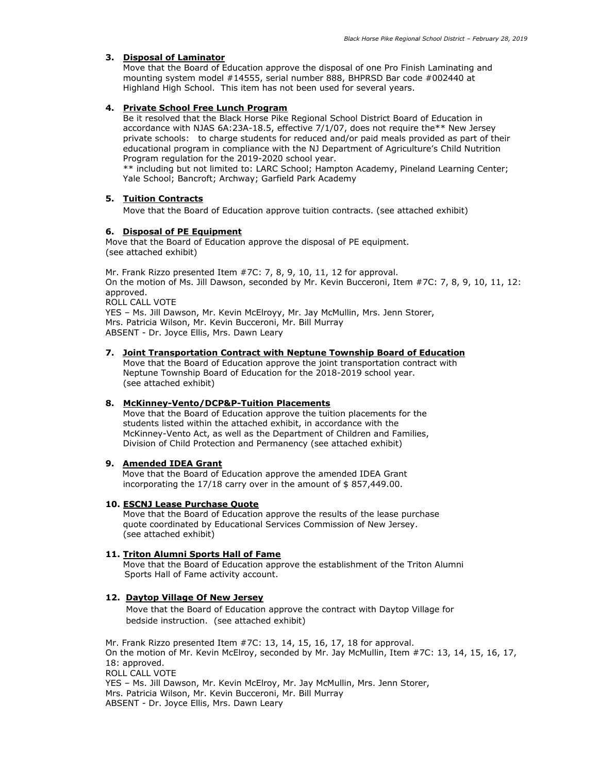## **3. Disposal of Laminator**

 Move that the Board of Education approve the disposal of one Pro Finish Laminating and mounting system model #14555, serial number 888, BHPRSD Bar code #002440 at Highland High School. This item has not been used for several years.

# **4. Private School Free Lunch Program**

Be it resolved that the Black Horse Pike Regional School District Board of Education in accordance with NJAS 6A:23A-18.5, effective 7/1/07, does not require the\*\* New Jersey private schools: to charge students for reduced and/or paid meals provided as part of their educational program in compliance with the NJ Department of Agriculture's Child Nutrition Program regulation for the 2019-2020 school year.

\*\* including but not limited to: LARC School; Hampton Academy, Pineland Learning Center; Yale School; Bancroft; Archway; Garfield Park Academy

# **5. Tuition Contracts**

Move that the Board of Education approve tuition contracts. (see attached exhibit)

# **6. Disposal of PE Equipment**

Move that the Board of Education approve the disposal of PE equipment. (see attached exhibit)

Mr. Frank Rizzo presented Item #7C: 7, 8, 9, 10, 11, 12 for approval. On the motion of Ms. Jill Dawson, seconded by Mr. Kevin Bucceroni, Item #7C: 7, 8, 9, 10, 11, 12: approved. ROLL CALL VOTE YES – Ms. Jill Dawson, Mr. Kevin McElroyy, Mr. Jay McMullin, Mrs. Jenn Storer, Mrs. Patricia Wilson, Mr. Kevin Bucceroni, Mr. Bill Murray

ABSENT - Dr. Joyce Ellis, Mrs. Dawn Leary

## **7. Joint Transportation Contract with Neptune Township Board of Education**

 Move that the Board of Education approve the joint transportation contract with Neptune Township Board of Education for the 2018-2019 school year. (see attached exhibit)

## **8. McKinney-Vento/DCP&P-Tuition Placements**

 Move that the Board of Education approve the tuition placements for the students listed within the attached exhibit, in accordance with the McKinney-Vento Act, as well as the Department of Children and Families, Division of Child Protection and Permanency (see attached exhibit)

## **9. Amended IDEA Grant**

Move that the Board of Education approve the amended IDEA Grant incorporating the 17/18 carry over in the amount of \$ 857,449.00.

## **10. ESCNJ Lease Purchase Quote**

 Move that the Board of Education approve the results of the lease purchase quote coordinated by Educational Services Commission of New Jersey. (see attached exhibit)

## **11. Triton Alumni Sports Hall of Fame**

 Move that the Board of Education approve the establishment of the Triton Alumni Sports Hall of Fame activity account.

## **12. Daytop Village Of New Jersey**

 Move that the Board of Education approve the contract with Daytop Village for bedside instruction. (see attached exhibit)

Mr. Frank Rizzo presented Item #7C: 13, 14, 15, 16, 17, 18 for approval. On the motion of Mr. Kevin McElroy, seconded by Mr. Jay McMullin, Item #7C: 13, 14, 15, 16, 17, 18: approved. ROLL CALL VOTE YES – Ms. Jill Dawson, Mr. Kevin McElroy, Mr. Jay McMullin, Mrs. Jenn Storer, Mrs. Patricia Wilson, Mr. Kevin Bucceroni, Mr. Bill Murray ABSENT - Dr. Joyce Ellis, Mrs. Dawn Leary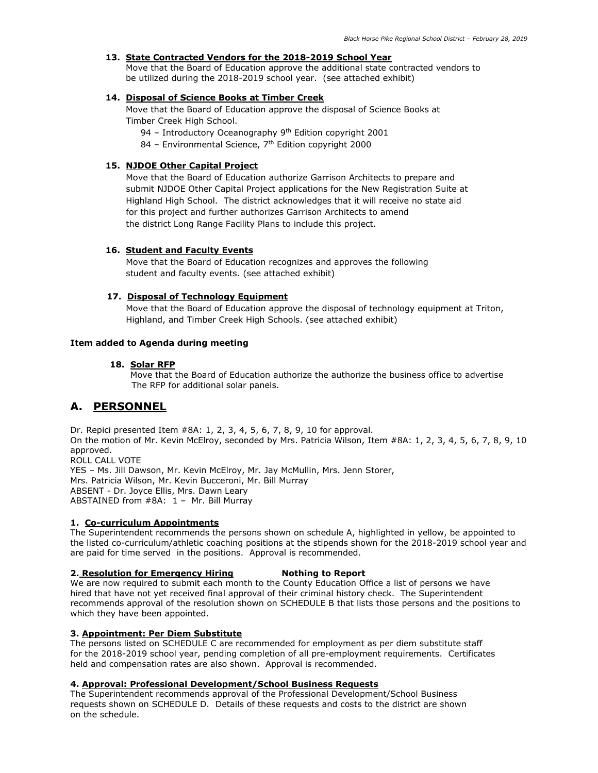# **13. State Contracted Vendors for the 2018-2019 School Year**

 Move that the Board of Education approve the additional state contracted vendors to be utilized during the 2018-2019 school year. (see attached exhibit)

## **14. Disposal of Science Books at Timber Creek**

Move that the Board of Education approve the disposal of Science Books at Timber Creek High School.

94 – Introductory Oceanography 9<sup>th</sup> Edition copyright 2001

84 – Environmental Science, 7<sup>th</sup> Edition copyright 2000

# **15. NJDOE Other Capital Project**

Move that the Board of Education authorize Garrison Architects to prepare and submit NJDOE Other Capital Project applications for the New Registration Suite at Highland High School. The district acknowledges that it will receive no state aid for this project and further authorizes Garrison Architects to amend the district Long Range Facility Plans to include this project.

## **16. Student and Faculty Events**

 Move that the Board of Education recognizes and approves the following student and faculty events. (see attached exhibit)

## **17. Disposal of Technology Equipment**

 Move that the Board of Education approve the disposal of technology equipment at Triton, Highland, and Timber Creek High Schools. (see attached exhibit)

# **Item added to Agenda during meeting**

## **18. Solar RFP**

 Move that the Board of Education authorize the authorize the business office to advertise The RFP for additional solar panels.

# **A. PERSONNEL**

Dr. Repici presented Item #8A: 1, 2, 3, 4, 5, 6, 7, 8, 9, 10 for approval. On the motion of Mr. Kevin McElroy, seconded by Mrs. Patricia Wilson, Item #8A: 1, 2, 3, 4, 5, 6, 7, 8, 9, 10 approved. ROLL CALL VOTE YES – Ms. Jill Dawson, Mr. Kevin McElroy, Mr. Jay McMullin, Mrs. Jenn Storer, Mrs. Patricia Wilson, Mr. Kevin Bucceroni, Mr. Bill Murray ABSENT - Dr. Joyce Ellis, Mrs. Dawn Leary ABSTAINED from #8A: 1 – Mr. Bill Murray

## **1. Co-curriculum Appointments**

The Superintendent recommends the persons shown on schedule A, highlighted in yellow, be appointed to the listed co-curriculum/athletic coaching positions at the stipends shown for the 2018-2019 school year and are paid for time served in the positions. Approval is recommended.

# **2. Resolution for Emergency Hiring Nothing to Report**

We are now required to submit each month to the County Education Office a list of persons we have hired that have not yet received final approval of their criminal history check. The Superintendent recommends approval of the resolution shown on SCHEDULE B that lists those persons and the positions to which they have been appointed.

## **3. Appointment: Per Diem Substitute**

The persons listed on SCHEDULE C are recommended for employment as per diem substitute staff for the 2018-2019 school year, pending completion of all pre-employment requirements. Certificates held and compensation rates are also shown. Approval is recommended.

## **4. Approval: Professional Development/School Business Requests**

The Superintendent recommends approval of the Professional Development/School Business requests shown on SCHEDULE D. Details of these requests and costs to the district are shown on the schedule.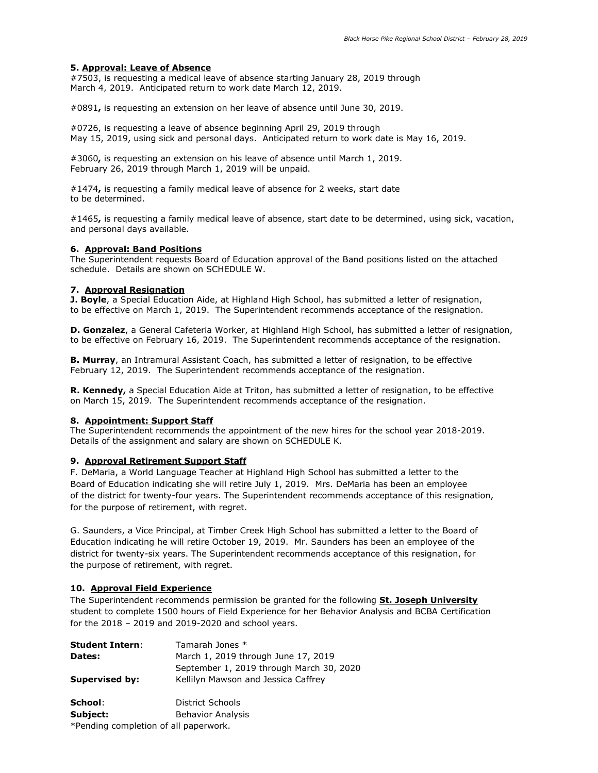#### **5. Approval: Leave of Absence**

#7503, is requesting a medical leave of absence starting January 28, 2019 through March 4, 2019. Anticipated return to work date March 12, 2019.

#0891**,** is requesting an extension on her leave of absence until June 30, 2019.

#0726, is requesting a leave of absence beginning April 29, 2019 through May 15, 2019, using sick and personal days. Anticipated return to work date is May 16, 2019.

#3060**,** is requesting an extension on his leave of absence until March 1, 2019. February 26, 2019 through March 1, 2019 will be unpaid.

#1474**,** is requesting a family medical leave of absence for 2 weeks, start date to be determined.

#1465**,** is requesting a family medical leave of absence, start date to be determined, using sick, vacation, and personal days available.

## **6. Approval: Band Positions**

The Superintendent requests Board of Education approval of the Band positions listed on the attached schedule. Details are shown on SCHEDULE W.

#### **7. Approval Resignation**

**J. Boyle**, a Special Education Aide, at Highland High School, has submitted a letter of resignation, to be effective on March 1, 2019. The Superintendent recommends acceptance of the resignation.

**D. Gonzalez**, a General Cafeteria Worker, at Highland High School, has submitted a letter of resignation, to be effective on February 16, 2019. The Superintendent recommends acceptance of the resignation.

**B. Murray**, an Intramural Assistant Coach, has submitted a letter of resignation, to be effective February 12, 2019. The Superintendent recommends acceptance of the resignation.

**R. Kennedy,** a Special Education Aide at Triton, has submitted a letter of resignation, to be effective on March 15, 2019. The Superintendent recommends acceptance of the resignation.

#### **8. Appointment: Support Staff**

The Superintendent recommends the appointment of the new hires for the school year 2018-2019. Details of the assignment and salary are shown on SCHEDULE K.

## **9. Approval Retirement Support Staff**

F. DeMaria, a World Language Teacher at Highland High School has submitted a letter to the Board of Education indicating she will retire July 1, 2019. Mrs. DeMaria has been an employee of the district for twenty-four years. The Superintendent recommends acceptance of this resignation, for the purpose of retirement, with regret.

G. Saunders, a Vice Principal, at Timber Creek High School has submitted a letter to the Board of Education indicating he will retire October 19, 2019. Mr. Saunders has been an employee of the district for twenty-six years. The Superintendent recommends acceptance of this resignation, for the purpose of retirement, with regret.

## **10. Approval Field Experience**

The Superintendent recommends permission be granted for the following **St. Joseph University** student to complete 1500 hours of Field Experience for her Behavior Analysis and BCBA Certification for the 2018 – 2019 and 2019-2020 and school years.

| <b>Student Intern:</b>               | Tamarah Jones *                          |
|--------------------------------------|------------------------------------------|
| Dates:                               | March 1, 2019 through June 17, 2019      |
|                                      | September 1, 2019 through March 30, 2020 |
| <b>Supervised by:</b>                | Kellilyn Mawson and Jessica Caffrey      |
| School:                              | District Schools                         |
| Subject:                             | <b>Behavior Analysis</b>                 |
| *Pending completion of all panerwork |                                          |

Pending completion of all paperwork.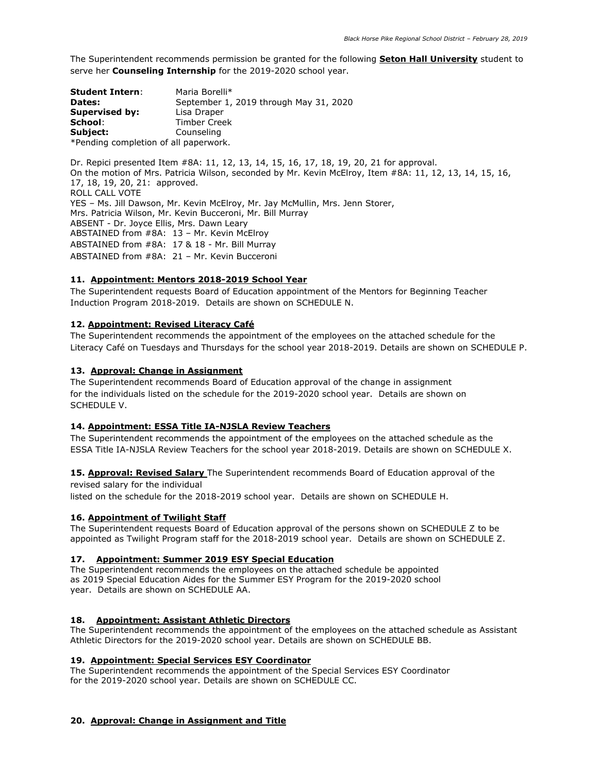The Superintendent recommends permission be granted for the following **Seton Hall University** student to serve her **Counseling Internship** for the 2019-2020 school year.

| <b>Student Intern:</b>                | Maria Borelli*                         |  |
|---------------------------------------|----------------------------------------|--|
| Dates:                                | September 1, 2019 through May 31, 2020 |  |
| <b>Supervised by:</b>                 | Lisa Draper                            |  |
| School:                               | <b>Timber Creek</b>                    |  |
| Subject:                              | Counseling                             |  |
| *Pending completion of all paperwork. |                                        |  |

Dr. Repici presented Item #8A: 11, 12, 13, 14, 15, 16, 17, 18, 19, 20, 21 for approval. On the motion of Mrs. Patricia Wilson, seconded by Mr. Kevin McElroy, Item #8A: 11, 12, 13, 14, 15, 16, 17, 18, 19, 20, 21: approved. ROLL CALL VOTE YES – Ms. Jill Dawson, Mr. Kevin McElroy, Mr. Jay McMullin, Mrs. Jenn Storer, Mrs. Patricia Wilson, Mr. Kevin Bucceroni, Mr. Bill Murray ABSENT - Dr. Joyce Ellis, Mrs. Dawn Leary ABSTAINED from #8A: 13 – Mr. Kevin McElroy ABSTAINED from #8A: 17 & 18 - Mr. Bill Murray ABSTAINED from #8A: 21 – Mr. Kevin Bucceroni

# **11. Appointment: Mentors 2018-2019 School Year**

The Superintendent requests Board of Education appointment of the Mentors for Beginning Teacher Induction Program 2018-2019. Details are shown on SCHEDULE N.

## **12. Appointment: Revised Literacy Café**

The Superintendent recommends the appointment of the employees on the attached schedule for the Literacy Café on Tuesdays and Thursdays for the school year 2018-2019. Details are shown on SCHEDULE P.

## **13. Approval: Change in Assignment**

The Superintendent recommends Board of Education approval of the change in assignment for the individuals listed on the schedule for the 2019-2020 school year. Details are shown on SCHEDULE V.

## **14. Appointment: ESSA Title IA-NJSLA Review Teachers**

The Superintendent recommends the appointment of the employees on the attached schedule as the ESSA Title IA-NJSLA Review Teachers for the school year 2018-2019. Details are shown on SCHEDULE X.

15. **Approval: Revised Salary** The Superintendent recommends Board of Education approval of the revised salary for the individual

listed on the schedule for the 2018-2019 school year. Details are shown on SCHEDULE H.

## **16. Appointment of Twilight Staff**

The Superintendent requests Board of Education approval of the persons shown on SCHEDULE Z to be appointed as Twilight Program staff for the 2018-2019 school year. Details are shown on SCHEDULE Z.

#### **17. Appointment: Summer 2019 ESY Special Education**

The Superintendent recommends the employees on the attached schedule be appointed as 2019 Special Education Aides for the Summer ESY Program for the 2019-2020 school year. Details are shown on SCHEDULE AA.

## **18. Appointment: Assistant Athletic Directors**

The Superintendent recommends the appointment of the employees on the attached schedule as Assistant Athletic Directors for the 2019-2020 school year. Details are shown on SCHEDULE BB.

## **19. Appointment: Special Services ESY Coordinator**

The Superintendent recommends the appointment of the Special Services ESY Coordinator for the 2019-2020 school year. Details are shown on SCHEDULE CC.

## **20. Approval: Change in Assignment and Title**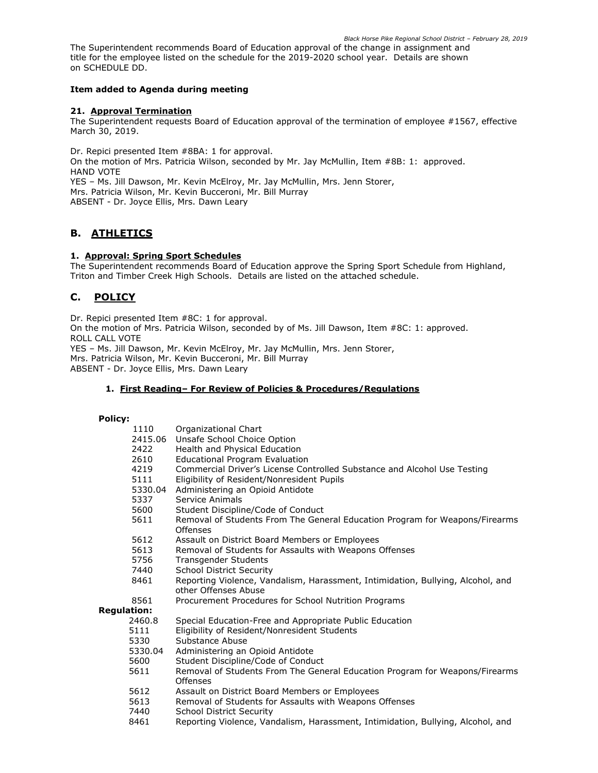*Black Horse Pike Regional School District – February 28, 2019* The Superintendent recommends Board of Education approval of the change in assignment and title for the employee listed on the schedule for the 2019-2020 school year. Details are shown on SCHEDULE DD.

## **Item added to Agenda during meeting**

## **21. Approval Termination**

The Superintendent requests Board of Education approval of the termination of employee #1567, effective March 30, 2019.

Dr. Repici presented Item #8BA: 1 for approval. On the motion of Mrs. Patricia Wilson, seconded by Mr. Jay McMullin, Item #8B: 1: approved. HAND VOTE YES – Ms. Jill Dawson, Mr. Kevin McElroy, Mr. Jay McMullin, Mrs. Jenn Storer, Mrs. Patricia Wilson, Mr. Kevin Bucceroni, Mr. Bill Murray ABSENT - Dr. Joyce Ellis, Mrs. Dawn Leary

# **B. ATHLETICS**

# **1. Approval: Spring Sport Schedules**

The Superintendent recommends Board of Education approve the Spring Sport Schedule from Highland, Triton and Timber Creek High Schools. Details are listed on the attached schedule.

# **C. POLICY**

Dr. Repici presented Item #8C: 1 for approval. On the motion of Mrs. Patricia Wilson, seconded by of Ms. Jill Dawson, Item #8C: 1: approved. ROLL CALL VOTE YES – Ms. Jill Dawson, Mr. Kevin McElroy, Mr. Jay McMullin, Mrs. Jenn Storer, Mrs. Patricia Wilson, Mr. Kevin Bucceroni, Mr. Bill Murray ABSENT - Dr. Joyce Ellis, Mrs. Dawn Leary

## **1. First Reading– For Review of Policies & Procedures/Regulations**

#### **Policy:**

| 1110               | Organizational Chart                                                                                    |
|--------------------|---------------------------------------------------------------------------------------------------------|
| 2415.06            | Unsafe School Choice Option                                                                             |
| 2422               | Health and Physical Education                                                                           |
| 2610               | <b>Educational Program Evaluation</b>                                                                   |
| 4219               | Commercial Driver's License Controlled Substance and Alcohol Use Testing                                |
| 5111               | Eligibility of Resident/Nonresident Pupils                                                              |
| 5330.04            | Administering an Opioid Antidote                                                                        |
| 5337               | Service Animals                                                                                         |
| 5600               | Student Discipline/Code of Conduct                                                                      |
| 5611               | Removal of Students From The General Education Program for Weapons/Firearms<br>Offenses                 |
| 5612               | Assault on District Board Members or Employees                                                          |
| 5613               | Removal of Students for Assaults with Weapons Offenses                                                  |
| 5756               | <b>Transgender Students</b>                                                                             |
| 7440               | <b>School District Security</b>                                                                         |
| 8461               | Reporting Violence, Vandalism, Harassment, Intimidation, Bullying, Alcohol, and<br>other Offenses Abuse |
| 8561               | Procurement Procedures for School Nutrition Programs                                                    |
| <b>Regulation:</b> |                                                                                                         |
| 2460.8             | Special Education-Free and Appropriate Public Education                                                 |
| 5111               | Eligibility of Resident/Nonresident Students                                                            |
| 5330               | Substance Abuse                                                                                         |
| 5330.04            | Administering an Opioid Antidote                                                                        |
| 5600               | Student Discipline/Code of Conduct                                                                      |
| 5611               | Removal of Students From The General Education Program for Weapons/Firearms<br>Offenses                 |
| 5612               | Assault on District Board Members or Employees                                                          |
| 5613               | Removal of Students for Assaults with Weapons Offenses                                                  |
| 7440               | <b>School District Security</b>                                                                         |
| 8461               | Reporting Violence, Vandalism, Harassment, Intimidation, Bullying, Alcohol, and                         |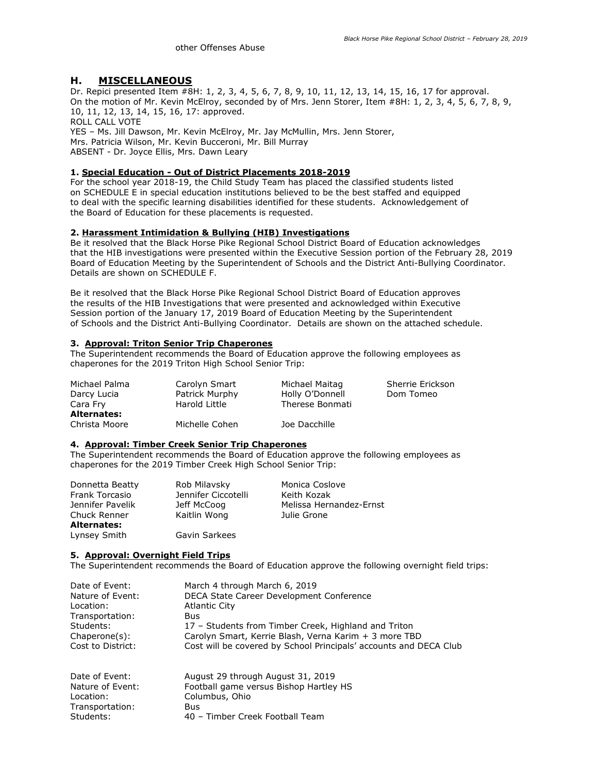# **H. MISCELLANEOUS**

Dr. Repici presented Item #8H: 1, 2, 3, 4, 5, 6, 7, 8, 9, 10, 11, 12, 13, 14, 15, 16, 17 for approval. On the motion of Mr. Kevin McElroy, seconded by of Mrs. Jenn Storer, Item #8H: 1, 2, 3, 4, 5, 6, 7, 8, 9, 10, 11, 12, 13, 14, 15, 16, 17: approved. ROLL CALL VOTE YES – Ms. Jill Dawson, Mr. Kevin McElroy, Mr. Jay McMullin, Mrs. Jenn Storer, Mrs. Patricia Wilson, Mr. Kevin Bucceroni, Mr. Bill Murray

ABSENT - Dr. Joyce Ellis, Mrs. Dawn Leary

## **1. Special Education - Out of District Placements 2018-2019**

For the school year 2018-19, the Child Study Team has placed the classified students listed on SCHEDULE E in special education institutions believed to be the best staffed and equipped to deal with the specific learning disabilities identified for these students. Acknowledgement of the Board of Education for these placements is requested.

## **2. Harassment Intimidation & Bullying (HIB) Investigations**

Be it resolved that the Black Horse Pike Regional School District Board of Education acknowledges that the HIB investigations were presented within the Executive Session portion of the February 28, 2019 Board of Education Meeting by the Superintendent of Schools and the District Anti-Bullying Coordinator. Details are shown on SCHEDULE F.

Be it resolved that the Black Horse Pike Regional School District Board of Education approves the results of the HIB Investigations that were presented and acknowledged within Executive Session portion of the January 17, 2019 Board of Education Meeting by the Superintendent of Schools and the District Anti-Bullying Coordinator. Details are shown on the attached schedule.

#### **3. Approval: Triton Senior Trip Chaperones**

The Superintendent recommends the Board of Education approve the following employees as chaperones for the 2019 Triton High School Senior Trip:

| Michael Palma      | Carolyn Smart  | Michael Maitag  | Sherrie Erickson |
|--------------------|----------------|-----------------|------------------|
| Darcy Lucia        | Patrick Murphy | Holly O'Donnell | Dom Tomeo        |
| Cara Fry           | Harold Little  | Therese Bonmati |                  |
| <b>Alternates:</b> |                |                 |                  |
| Christa Moore      | Michelle Cohen | Joe Dacchille   |                  |

#### **4. Approval: Timber Creek Senior Trip Chaperones**

The Superintendent recommends the Board of Education approve the following employees as chaperones for the 2019 Timber Creek High School Senior Trip:

| Donnetta Beatty    | Rob Milavsky        | Monica Coslove          |
|--------------------|---------------------|-------------------------|
|                    |                     |                         |
| Frank Torcasio     | Jennifer Ciccotelli | Keith Kozak             |
| Jennifer Pavelik   | Jeff McCoog         | Melissa Hernandez-Ernst |
| Chuck Renner       | Kaitlin Wong        | Julie Grone             |
| <b>Alternates:</b> |                     |                         |
| Lynsey Smith       | Gavin Sarkees       |                         |

#### **5. Approval: Overnight Field Trips**

The Superintendent recommends the Board of Education approve the following overnight field trips:

| Date of Event:    | March 4 through March 6, 2019                                     |
|-------------------|-------------------------------------------------------------------|
| Nature of Event:  | DECA State Career Development Conference                          |
| Location:         | <b>Atlantic City</b>                                              |
| Transportation:   | Bus                                                               |
| Students:         | 17 – Students from Timber Creek, Highland and Triton              |
| $Changeone(s)$ :  | Carolyn Smart, Kerrie Blash, Verna Karim + 3 more TBD             |
| Cost to District: | Cost will be covered by School Principals' accounts and DECA Club |
| Date of Event:    | August 29 through August 31, 2019                                 |
| Nature of Event:  | Football game versus Bishop Hartley HS                            |
| Location:         | Columbus, Ohio                                                    |
| Transportation:   | Bus                                                               |
| Students:         | 40 - Timber Creek Football Team                                   |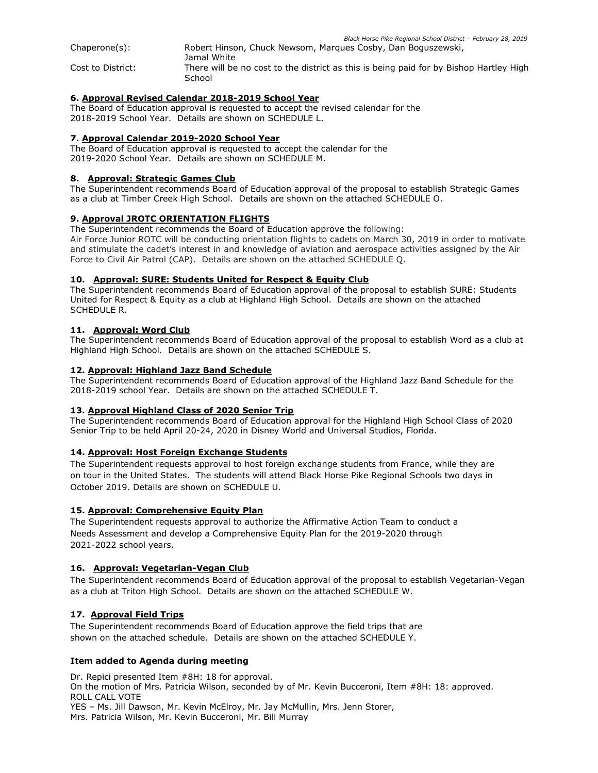*Black Horse Pike Regional School District – February 28, 2019* Chaperone(s): Robert Hinson, Chuck Newsom, Marques Cosby, Dan Boguszewski, Jamal White Cost to District: There will be no cost to the district as this is being paid for by Bishop Hartley High **School** 

# **6. Approval Revised Calendar 2018-2019 School Year**

The Board of Education approval is requested to accept the revised calendar for the 2018-2019 School Year. Details are shown on SCHEDULE L.

## **7. Approval Calendar 2019-2020 School Year**

The Board of Education approval is requested to accept the calendar for the 2019-2020 School Year. Details are shown on SCHEDULE M.

## **8. Approval: Strategic Games Club**

The Superintendent recommends Board of Education approval of the proposal to establish Strategic Games as a club at Timber Creek High School. Details are shown on the attached SCHEDULE O.

# **9. Approval JROTC ORIENTATION FLIGHTS**

The Superintendent recommends the Board of Education approve the following:

Air Force Junior ROTC will be conducting orientation flights to cadets on March 30, 2019 in order to motivate and stimulate the cadet's interest in and knowledge of aviation and aerospace activities assigned by the Air Force to Civil Air Patrol (CAP). Details are shown on the attached SCHEDULE Q.

# **10. Approval: SURE: Students United for Respect & Equity Club**

The Superintendent recommends Board of Education approval of the proposal to establish SURE: Students United for Respect & Equity as a club at Highland High School. Details are shown on the attached SCHEDULE R.

# **11. Approval: Word Club**

The Superintendent recommends Board of Education approval of the proposal to establish Word as a club at Highland High School. Details are shown on the attached SCHEDULE S.

## **12. Approval: Highland Jazz Band Schedule**

The Superintendent recommends Board of Education approval of the Highland Jazz Band Schedule for the 2018-2019 school Year. Details are shown on the attached SCHEDULE T.

## **13. Approval Highland Class of 2020 Senior Trip**

The Superintendent recommends Board of Education approval for the Highland High School Class of 2020 Senior Trip to be held April 20-24, 2020 in Disney World and Universal Studios, Florida.

## **14. Approval: Host Foreign Exchange Students**

The Superintendent requests approval to host foreign exchange students from France, while they are on tour in the United States. The students will attend Black Horse Pike Regional Schools two days in October 2019. Details are shown on SCHEDULE U.

## **15. Approval: Comprehensive Equity Plan**

The Superintendent requests approval to authorize the Affirmative Action Team to conduct a Needs Assessment and develop a Comprehensive Equity Plan for the 2019-2020 through 2021-2022 school years.

## **16. Approval: Vegetarian-Vegan Club**

The Superintendent recommends Board of Education approval of the proposal to establish Vegetarian-Vegan as a club at Triton High School. Details are shown on the attached SCHEDULE W.

# **17. Approval Field Trips**

The Superintendent recommends Board of Education approve the field trips that are shown on the attached schedule. Details are shown on the attached SCHEDULE Y.

## **Item added to Agenda during meeting**

Dr. Repici presented Item #8H: 18 for approval. On the motion of Mrs. Patricia Wilson, seconded by of Mr. Kevin Bucceroni, Item #8H: 18: approved. ROLL CALL VOTE YES – Ms. Jill Dawson, Mr. Kevin McElroy, Mr. Jay McMullin, Mrs. Jenn Storer, Mrs. Patricia Wilson, Mr. Kevin Bucceroni, Mr. Bill Murray